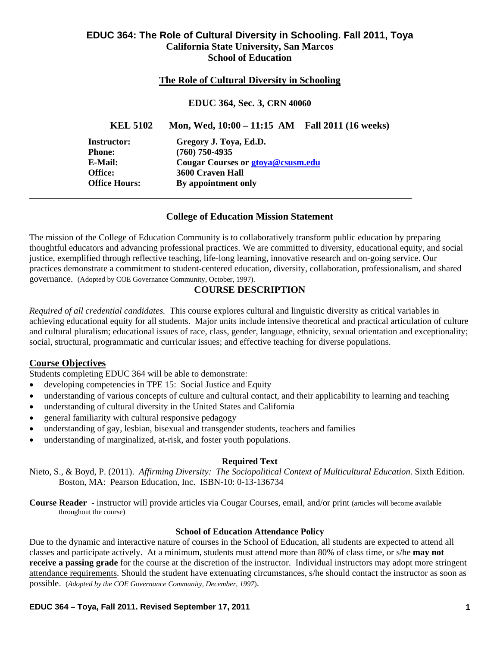### **EDUC 364: The Role of Cultural Diversity in Schooling. Fall 2011, Toya California State University, San Marcos School of Education**

### **The Role of Cultural Diversity in Schooling**

#### **EDUC 364, Sec. 3, CRN 40060**

**EDUC 364, Sec. 3, CRN 40060<br>
<b>KEL 5102** Mon, Wed, 10:00 – 11:15 AM Fall 2011 (16 weeks)

**Instructor: Phone: E-Mail: Office: Office Hours:** 

**Gregory J. Toya, Ed.D. (760) 750-4935 Cougar Courses or gtoya@csus m.edu 3600 Craven Hall By appointment only** 

#### **College of Education Mission Statement**

The mission of the College of Education Community is to collaboratively transform public education by preparing thoughtful educators and advancing professional practices. We are committed to diversity, educational equity, and social justice, exemplified through reflective teaching, life-long learning, innovative research and on-going service. Our practices demonstrate a commitment to student-centered education, diversity, collaboration, professionalism, and shared governance. (Adopted by COE Governance Community, October, 1997).

### **COURSE DESCRIPTION**

*Required of all credential candidates.* This course explores cultural and linguistic diversity as critical variables in achieving educational equity for all students. Major units include intensive theoretical and practical articulation of culture and cultural pluralism; educational issues of race, class, gender, language, ethnicity, sexual orientation and exceptionality; social, structural, programmatic and curricular issues; and effective teaching for diverse populations.

### **Course Objectives**

Students completing EDUC 364 will be able to demonstrate:

- developing competencies in TPE 15: Social Justice and Equity
- understanding of various concepts of culture and cultural contact, and their applicability to learning and teaching
- understanding of cultural diversity in the United States and California
- general familiarity with cultural responsive pedagogy
- understanding of gay, lesbian, bisexual and transgender students, teachers and families
- understanding of marginalized, at-risk, and foster youth populations.

#### **Required Text**

Nieto, S., & Boyd, P. (2011). *Affirming Diversity: The Sociopolitical Context of Multicultural Education*. Sixth Edition. Boston, MA: Pearson Education, Inc. ISBN-10: 0-13-136734

 **Course Reader** - instructor will provide articles via Cougar Courses, email, and/or print (articles will become available throughout the course)

### **School of Education Attendance Policy**

Due to the dynamic and interactive nature of courses in the School of Education, all students are expected to attend all classes and participate actively. At a minimum, students must attend more than 80% of class time, or s/he **may not receive a passing grade** for the course at the discretion of the instructor. Individual instructors may adopt more stringent attendance requirements. Should the student have extenuating circumstances, s/he should contact the instructor as soon as possible. (*Adopted by the COE Governance Community, December, 1997*).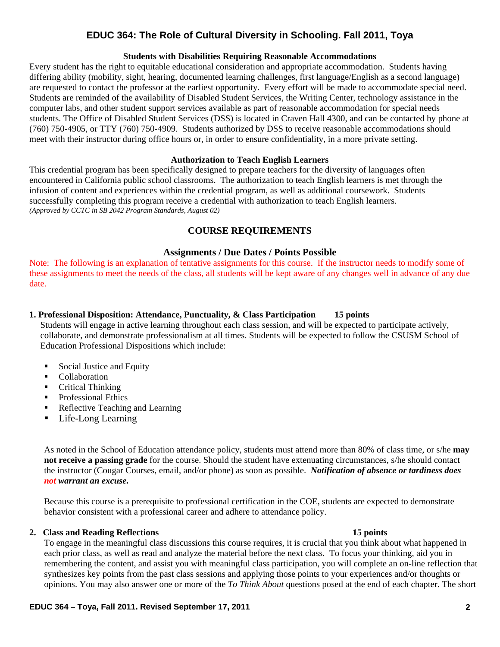#### **Students with Disabilities Requiring Reasonable Accommodations**

Every student has the right to equitable educational consideration and appropriate accommodation. Students having differing ability (mobility, sight, hearing, documented learning challenges, first language/English as a second language) are requested to contact the professor at the earliest opportunity. Every effort will be made to accommodate special need. Students are reminded of the availability of Disabled Student Services, the Writing Center, technology assistance in the computer labs, and other student support services available as part of reasonable accommodation for special needs students. The Office of Disabled Student Services (DSS) is located in Craven Hall 4300, and can be contacted by phone at (760) 750-4905, or TTY (760) 750-4909. Students authorized by DSS to receive reasonable accommodations should meet with their instructor during office hours or, in order to ensure confidentiality, in a more private setting.

#### **Authorization to Teach English Learners**

This credential program has been specifically designed to prepare teachers for the diversity of languages often encountered in California public school classrooms. The authorization to teach English learners is met through the infusion of content and experiences within the credential program, as well as additional coursework. Students successfully completing this program receive a credential with authorization to teach English learners. *(Approved by CCTC in SB 2042 Program Standards, August 02)* 

### **COURSE REQUIREMENTS**

#### **Assignments / Due Dates / Points Possible**

 these assignments to meet the needs of the class, all students will be kept aware of any changes well in advance of any due Note: The following is an explanation of tentative assignments for this course. If the instructor needs to modify some of date.

#### 15 points **1. Professional Disposition: Attendance, Punctuality, & Class Participation**

Students will engage in active learning throughout each class session, and will be expected to participate actively, collaborate, and demonstrate professionalism at all times. Students will be expected to follow the CSUSM School of Education Professional Dispositions which include:

- Social Justice and Equity
- **Collaboration**
- Critical Thinking
- Professional Ethics
- Reflective Teaching and Learning
- Life-Long Learning

As noted in the School of Education attendance policy, students must attend more than 80% of class time, or s/he **may not receive a passing grade** for the course. Should the student have extenuating circumstances, s/he should contact the instructor (Cougar Courses, email, and/or phone) as soon as possible. *Notification of absence or tardiness does not warrant an excuse.* 

 behavior consistent with a professional career and adhere to attendance policy. Because this course is a prerequisite to professional certification in the COE, students are expected to demonstrate

#### **2. Class and Reading Reflections 15 points**

To engage in the meaningful class discussions this course requires, it is crucial that you think about what happened in each prior class, as well as read and analyze the material before the next class. To focus your thinking, aid you in remembering the content, and assist you with meaningful class participation, you will complete an on-line reflection that synthesizes key points from the past class sessions and applying those points to your experiences and/or thoughts or opinions. You may also answer one or more of the *To Think About* questions posed at the end of each chapter. The short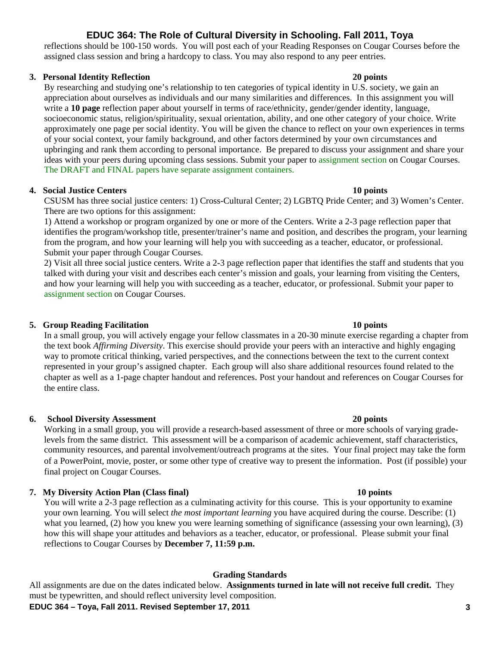reflections should be 100-150 words. You will post each of your Reading Responses on Cougar Courses before the assigned class session and bring a hardcopy to class. You may also respond to any peer entries.

#### **3. Personal Identity Reflection 20 points**

By researching and studying one's relationship to ten categories of typical identity in U.S. society, we gain an appreciation about ourselves as individuals and our many similarities and differences. In this assignment you will write a **10 page** reflection paper about yourself in terms of race/ethnicity, gender/gender identity, language, socioeconomic status, religion/spirituality, sexual orientation, ability, and one other category of your choice. Write approximately one page per social identity. You will be given the chance to reflect on your own experiences in terms of your social context, your family background, and other factors determined by your own circumstances and upbringing and rank them according to personal importance. Be prepared to discuss your assignment and share your ideas with your peers during upcoming class sessions. Submit your paper to assignment section on Cougar Courses. The DRAFT and FINAL papers have separate assignment containers.

### **4. Social Justice Centers 10 points**

CSUSM has three social justice centers: 1) Cross-Cultural Center; 2) LGBTQ Pride Center; and 3) Women's Center. There are two options for this assignment:

1) Attend a workshop or program organized by one or more of the Centers. Write a 2-3 page reflection paper that identifies the program/workshop title, presenter/trainer's name and position, and describes the program, your learning from the program, and how your learning will help you with succeeding as a teacher, educator, or professional. Submit your paper through Cougar Courses.

2) Visit all three social justice centers. Write a 2-3 page reflection paper that identifies the staff and students that you talked with during your visit and describes each center's mission and goals, your learning from visiting the Centers, and how your learning will help you with succeeding as a teacher, educator, or professional. Submit your paper to assignment section on Cougar Courses.

### **5. Group Reading Facilitation 10 points**

In a small group, you will actively engage your fellow classmates in a 20-30 minute exercise regarding a chapter from the text book *Affirming Diversity*. This exercise should provide your peers with an interactive and highly engaging way to promote critical thinking, varied perspectives, and the connections between the text to the current context represented in your group's assigned chapter. Each group will also share additional resources found related to the chapter as well as a 1-page chapter handout and references. Post your handout and references on Cougar Courses for the entire class.

### **6.** School Diversity Assessment 20 points **20 points**

Working in a small group, you will provide a research-based assessment of three or more schools of varying gradelevels from the same district. This assessment will be a comparison of academic achievement, staff characteristics, community resources, and parental involvement/outreach programs at the sites. Your final project may take the form of a PowerPoint, movie, poster, or some other type of creative way to present the information. Post (if possible) your final project on Cougar Courses.

### **7. My Diversity Action Plan (Class final) 10 points**

You will write a 2-3 page reflection as a culminating activity for this course. This is your opportunity to examine your own learning. You will select *the most important learning* you have acquired during the course. Describe: (1) what you learned, (2) how you knew you were learning something of significance (assessing your own learning), (3) how this will shape your attitudes and behaviors as a teacher, educator, or professional. Please submit your final reflections to Cougar Courses by **December 7, 11:59 p.m.** 

### **Grading Standards**

All assignments are due on the dates indicated below. **Assignments turned in late will not receive full credit.** They must be typewritten, and should reflect university level composition.

#### **EDUC 364 – Toya, Fall 2011. Revised September 17, 2011 3**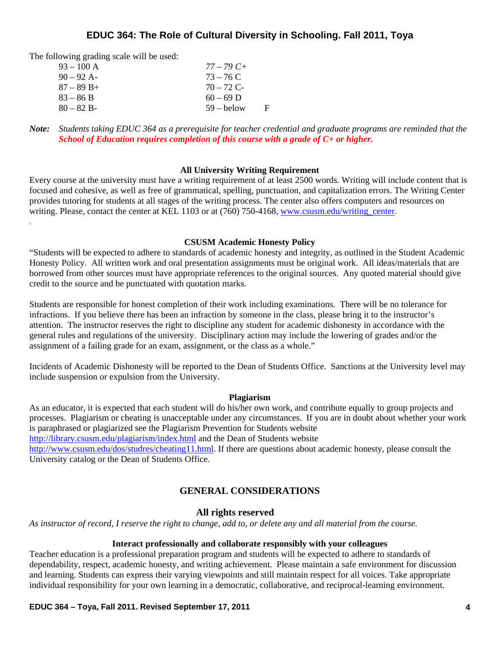The following grading scale will be used:

.

| $93 - 100$ A  | $77 - 79C +$ |    |
|---------------|--------------|----|
| $90 - 92$ A-  | $73 - 76$ C  |    |
| $87 - 89 B +$ | $70 - 72$ C- |    |
| $83 - 86 B$   | $60 - 69$ D  |    |
| $80 - 82 B$   | $59 -$ helow | н. |

*Note: Students taking EDUC 364 as a prerequisite for teacher credential and graduate programs are reminded that the School of Education requires completion of this course with a grade of C+ or higher.* 

#### **All University Writing Requirement**

Every course at the university must have a writing requirement of at least 2500 words. Writing will include content that is focused and cohesive, as well as free of grammatical, spelling, punctuation, and capitalization errors. The Writing Center provides tutoring for students at all stages of the writing process. The center also offers computers and resources on writing. Please, contact the center at KEL 1103 or at (760) 750-4168, www.csusm.edu/writing\_center.

#### **CSUSM Academic Honesty Policy**

"Students will be expected to adhere to standards of academic honesty and integrity, as outlined in the Student Academic Honesty Policy. All written work and oral presentation assignments must be original work. All ideas/materials that are borrowed from other sources must have appropriate references to the original sources. Any quoted material should give credit to the source and be punctuated with quotation marks.

Students are responsible for honest completion of their work including examinations. There will be no tolerance for infractions. If you believe there has been an infraction by someone in the class, please bring it to the instructor's attention. The instructor reserves the right to discipline any student for academic dishonesty in accordance with the general rules and regulations of the university. Disciplinary action may include the lowering of grades and/or the assignment of a failing grade for an exam, assignment, or the class as a whole."

Incidents of Academic Dishonesty will be reported to the Dean of Students Office. Sanctions at the University level may include suspension or expulsion from the University.

#### **Plagiarism**

As an educator, it is expected that each student will do his/her own work, and contribute equally to group projects and processes. Plagiarism or cheating is unacceptable under any circumstances. If you are in doubt about whether your work is paraphrased or plagiarized see the Plagiarism Prevention for Students website http://library.csusm.edu/plagiarism/index.html and the Dean of Students website http://www.csusm.edu/dos/studres/cheating11.html. If there are questions about academic honesty, please consult the University catalog or the Dean of Students Office.

#### **GENERAL CONSIDERATIONS**

#### **All rights reserved**

*As instructor of record, I reserve the right to change, add to, or delete any and all material from the course.* 

#### **Interact professionally and collaborate responsibly with your colleagues**

Teacher education is a professional preparation program and students will be expected to adhere to standards of dependability, respect, academic honesty, and writing achievement. Please maintain a safe environment for discussion and learning. Students can express their varying viewpoints and still maintain respect for all voices. Take appropriate individual responsibility for your own learning in a democratic, collaborative, and reciprocal-learning environment.

**EDUC 364 – Toya, Fall 2011. Revised September 17, 2011 4**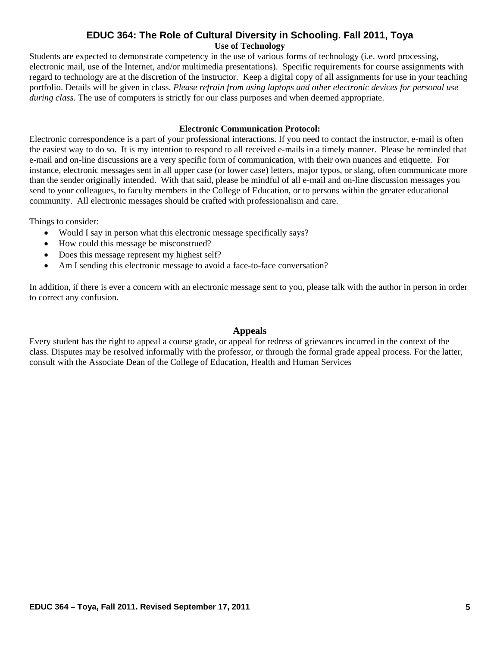### **EDUC 364: The Role of Cultural Diversity in Schooling. Fall 2011, Toya Use of Technology**

Students are expected to demonstrate competency in the use of various forms of technology (i.e. word processing, electronic mail, use of the Internet, and/or multimedia presentations). Specific requirements for course assignments with regard to technology are at the discretion of the instructor. Keep a digital copy of all assignments for use in your teaching portfolio. Details will be given in class. *Please refrain from using laptops and other electronic devices for personal use during class.* The use of computers is strictly for our class purposes and when deemed appropriate.

#### **Electronic Communication Protocol:**

Electronic correspondence is a part of your professional interactions. If you need to contact the instructor, e-mail is often the easiest way to do so. It is my intention to respond to all received e-mails in a timely manner. Please be reminded that e-mail and on-line discussions are a very specific form of communication, with their own nuances and etiquette. For instance, electronic messages sent in all upper case (or lower case) letters, major typos, or slang, often communicate more than the sender originally intended. With that said, please be mindful of all e-mail and on-line discussion messages you send to your colleagues, to faculty members in the College of Education, or to persons within the greater educational community. All electronic messages should be crafted with professionalism and care.

Things to consider:

- Would I say in person what this electronic message specifically says?
- How could this message be misconstrued?
- Does this message represent my highest self?
- Am I sending this electronic message to avoid a face-to-face conversation?

In addition, if there is ever a concern with an electronic message sent to you, please talk with the author in person in order to correct any confusion.

### **Appeals**

Every student has the right to appeal a course grade, or appeal for redress of grievances incurred in the context of the class. Disputes may be resolved informally with the professor, or through the formal grade appeal process. For the latter, consult with the Associate Dean of the College of Education, Health and Human Services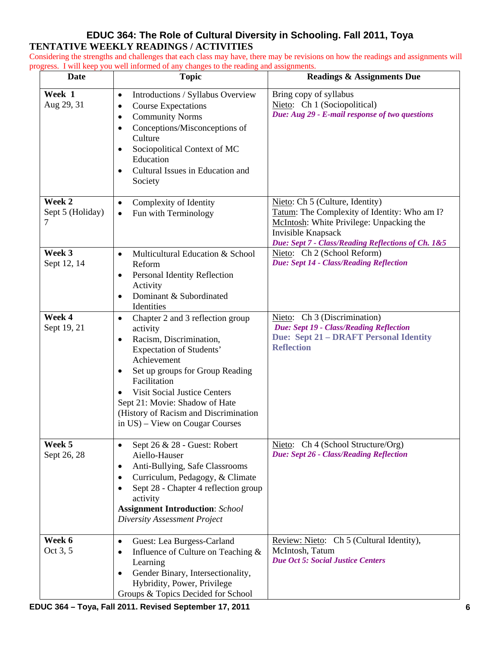## **EDUC 364: The Role of Cultural Diversity in Schooling. Fall 2011, Toya TENTATIVE WEEKLY READINGS / ACTIVITIES**

Considering the strengths and challenges that each class may have, there may be revisions on how the readings and assignments will progress. I will keep you well informed of any changes to the reading and assignments.

| <b>Date</b>                     | <b>Topic</b>                                                                                                                                                                                                                                                                                                                                                     | <b>Readings &amp; Assignments Due</b>                                                                                                                                                                   |
|---------------------------------|------------------------------------------------------------------------------------------------------------------------------------------------------------------------------------------------------------------------------------------------------------------------------------------------------------------------------------------------------------------|---------------------------------------------------------------------------------------------------------------------------------------------------------------------------------------------------------|
| Week 1<br>Aug 29, 31            | Introductions / Syllabus Overview<br>$\bullet$<br><b>Course Expectations</b><br>$\bullet$<br><b>Community Norms</b><br>$\bullet$<br>Conceptions/Misconceptions of<br>$\bullet$<br>Culture<br>Sociopolitical Context of MC<br>$\bullet$<br>Education<br>Cultural Issues in Education and<br>$\bullet$<br>Society                                                  | Bring copy of syllabus<br>Nieto: Ch 1 (Sociopolitical)<br>Due: Aug 29 - E-mail response of two questions                                                                                                |
| Week 2<br>Sept 5 (Holiday)<br>7 | Complexity of Identity<br>$\bullet$<br>Fun with Terminology<br>$\bullet$                                                                                                                                                                                                                                                                                         | Nieto: Ch 5 (Culture, Identity)<br>Tatum: The Complexity of Identity: Who am I?<br>McIntosh: White Privilege: Unpacking the<br>Invisible Knapsack<br>Due: Sept 7 - Class/Reading Reflections of Ch. 1&5 |
| Week 3<br>Sept 12, 14           | Multicultural Education & School<br>$\bullet$<br>Reform<br>Personal Identity Reflection<br>$\bullet$<br>Activity<br>Dominant & Subordinated<br>Identities                                                                                                                                                                                                        | Nieto: Ch 2 (School Reform)<br><b>Due: Sept 14 - Class/Reading Reflection</b>                                                                                                                           |
| Week 4<br>Sept 19, 21           | Chapter 2 and 3 reflection group<br>$\bullet$<br>activity<br>Racism, Discrimination,<br>$\bullet$<br><b>Expectation of Students'</b><br>Achievement<br>Set up groups for Group Reading<br>٠<br>Facilitation<br><b>Visit Social Justice Centers</b><br>Sept 21: Movie: Shadow of Hate<br>(History of Racism and Discrimination<br>in US) – View on Cougar Courses | Nieto: Ch 3 (Discrimination)<br>Due: Sept 19 - Class/Reading Reflection<br><b>Due: Sept 21 - DRAFT Personal Identity</b><br><b>Reflection</b>                                                           |
| Week 5<br>Sept 26, 28           | Sept 26 & 28 - Guest: Robert<br>$\bullet$<br>Aiello-Hauser<br>Anti-Bullying, Safe Classrooms<br>٠<br>Curriculum, Pedagogy, & Climate<br>٠<br>Sept 28 - Chapter 4 reflection group<br>activity<br><b>Assignment Introduction: School</b><br><b>Diversity Assessment Project</b>                                                                                   | Nieto: Ch 4 (School Structure/Org)<br>Due: Sept 26 - Class/Reading Reflection                                                                                                                           |
| Week 6<br>Oct 3, 5              | Guest: Lea Burgess-Carland<br>$\bullet$<br>Influence of Culture on Teaching &<br>Learning<br>Gender Binary, Intersectionality,<br>٠<br>Hybridity, Power, Privilege<br>Groups & Topics Decided for School                                                                                                                                                         | Review: Nieto: Ch 5 (Cultural Identity),<br>McIntosh, Tatum<br><b>Due Oct 5: Social Justice Centers</b>                                                                                                 |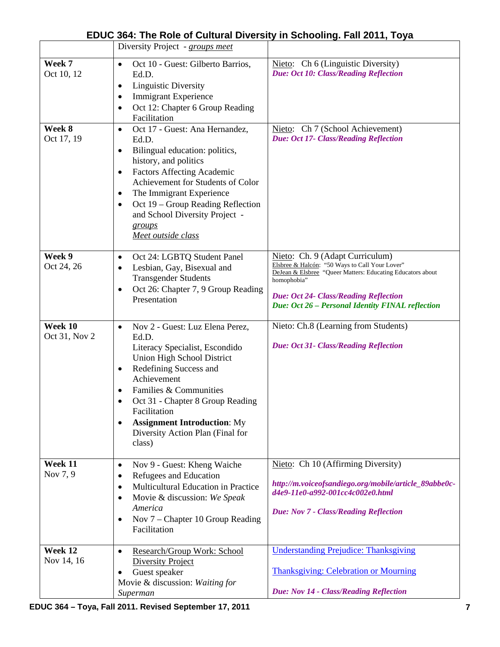|                          | Diversity Project - groups meet                                                                                                                                                                                                                                                                                                                                                  |                                                                                                                                                                                                                                                                    |
|--------------------------|----------------------------------------------------------------------------------------------------------------------------------------------------------------------------------------------------------------------------------------------------------------------------------------------------------------------------------------------------------------------------------|--------------------------------------------------------------------------------------------------------------------------------------------------------------------------------------------------------------------------------------------------------------------|
| Week 7<br>Oct 10, 12     | Oct 10 - Guest: Gilberto Barrios,<br>$\bullet$<br>Ed.D.<br><b>Linguistic Diversity</b><br>$\bullet$<br><b>Immigrant Experience</b><br>$\bullet$<br>Oct 12: Chapter 6 Group Reading<br>$\bullet$<br>Facilitation                                                                                                                                                                  | Nieto: Ch 6 (Linguistic Diversity)<br><b>Due: Oct 10: Class/Reading Reflection</b>                                                                                                                                                                                 |
| Week 8<br>Oct 17, 19     | Oct 17 - Guest: Ana Hernandez,<br>$\bullet$<br>Ed.D.<br>Bilingual education: politics,<br>$\bullet$<br>history, and politics<br><b>Factors Affecting Academic</b><br>$\bullet$<br>Achievement for Students of Color<br>The Immigrant Experience<br>$\bullet$<br>Oct 19 – Group Reading Reflection<br>$\bullet$<br>and School Diversity Project -<br>groups<br>Meet outside class | Nieto: Ch 7 (School Achievement)<br>Due: Oct 17- Class/Reading Reflection                                                                                                                                                                                          |
| Week 9<br>Oct 24, 26     | Oct 24: LGBTQ Student Panel<br>$\bullet$<br>Lesbian, Gay, Bisexual and<br>$\bullet$<br><b>Transgender Students</b><br>Oct 26: Chapter 7, 9 Group Reading<br>$\bullet$<br>Presentation                                                                                                                                                                                            | Nieto: Ch. 9 (Adapt Curriculum)<br>Elsbree & Halcón: "50 Ways to Call Your Lover"<br>DeJean & Elsbree "Queer Matters: Educating Educators about<br>homophobia"<br><b>Due: Oct 24- Class/Reading Reflection</b><br>Due: Oct 26 - Personal Identity FINAL reflection |
| Week 10<br>Oct 31, Nov 2 | Nov 2 - Guest: Luz Elena Perez,<br>$\bullet$<br>Ed.D.<br>Literacy Specialist, Escondido<br>Union High School District<br>Redefining Success and<br>$\bullet$<br>Achievement<br>Families & Communities<br>Oct 31 - Chapter 8 Group Reading<br>Facilitation<br><b>Assignment Introduction: My</b><br>$\bullet$<br>Diversity Action Plan (Final for<br>class)                       | Nieto: Ch.8 (Learning from Students)<br><b>Due: Oct 31- Class/Reading Reflection</b>                                                                                                                                                                               |
| Week 11<br>Nov 7, 9      | Nov 9 - Guest: Kheng Waiche<br>$\bullet$<br>Refugees and Education<br>٠<br>Multicultural Education in Practice<br>$\bullet$<br>Movie & discussion: We Speak<br>$\bullet$<br>America<br>Nov 7 – Chapter 10 Group Reading<br>$\bullet$<br>Facilitation                                                                                                                             | Nieto: Ch 10 (Affirming Diversity)<br>http://m.voiceofsandiego.org/mobile/article_89abbe0c-<br>d4e9-11e0-a992-001cc4c002e0.html<br>Due: Nov 7 - Class/Reading Reflection                                                                                           |
| Week 12<br>Nov 14, 16    | Research/Group Work: School<br>$\bullet$<br><b>Diversity Project</b><br>Guest speaker<br>٠<br>Movie & discussion: Waiting for<br>Superman                                                                                                                                                                                                                                        | <b>Understanding Prejudice: Thanksgiving</b><br><b>Thanksgiving: Celebration or Mourning</b><br>Due: Nov 14 - Class/Reading Reflection                                                                                                                             |